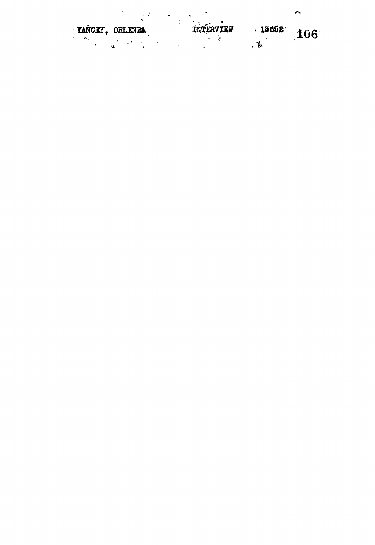$\ddot{\phantom{1}}$  $\sim 2$ **Experience of the Theory List** TANCEY, ORLENE TWEE  $13652$   $106$  $\ddot{\cdot}$  $\frac{1}{2}$  $\mathbf{A}$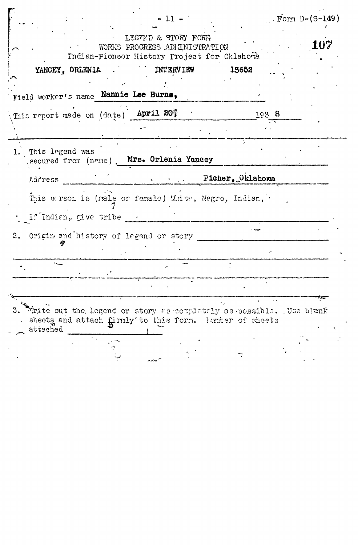|                                             | $-11 - 1$                                                                                           |                                                                                  | $\Gamma$ Form D- $(S-149)$ |
|---------------------------------------------|-----------------------------------------------------------------------------------------------------|----------------------------------------------------------------------------------|----------------------------|
|                                             | LEGTMD & STORY FORM<br>WORKS PROCRESS ADMINISTRATION<br>Indian-Pionser History Project for Oklahoma |                                                                                  | 107                        |
| YANCEY, ORLENIA                             | <b>INTERVIEW</b>                                                                                    | 13652                                                                            |                            |
| Field worker's name Nannie Lee Burns,       |                                                                                                     |                                                                                  |                            |
| This report made on (date) April 20%        |                                                                                                     | 193 8                                                                            |                            |
|                                             |                                                                                                     |                                                                                  |                            |
| 1. This legend was                          | secured from (name). Mrs. Orlenia Yancey                                                            |                                                                                  |                            |
| Address                                     |                                                                                                     | $\mathbb{R}$ and $\mathbb{R}$ is the $\mathbb{R}$ picker $\mathbb{R}$ . Oklahoma |                            |
| If Indian, give tribe .                     | This person is (male or female) White, Negro, Indian,                                               |                                                                                  |                            |
| Origin and history of legend or story<br>2. |                                                                                                     |                                                                                  |                            |
|                                             |                                                                                                     |                                                                                  |                            |
|                                             |                                                                                                     |                                                                                  |                            |
|                                             |                                                                                                     |                                                                                  |                            |
|                                             |                                                                                                     |                                                                                  |                            |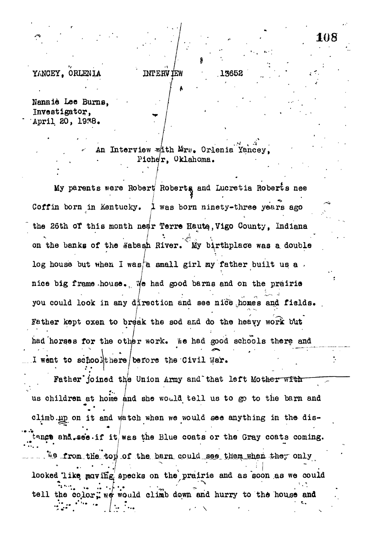## YANCEY. ORLENIA

Nannie Lee Burns, Investigator, April 20, 1938.

> An Interview with Mrs. Orlenia Yancey. Picher, Oklahoma.

13652

**INTERV TEW** 

108

My parents were Robert Roberts and Lucretia Roberts nee Coffin born in Kentucky. I was born ninety-three years ago the 26th of this month near Terre Haute, Vigo County, Indiana on the banks of the Wabash River. My birthplace was a double log house but when I was/a small girl my father built us a. nice big frame house. We had good barns and on the prairie you could look in any direction and see nice homes and fields. Father kept oxen to break the sod and do the heavy work but had horses for the other work. We had good schools there and I went to schoolthere before the Civil War.

Father joined the Union Army and that left Mother with us children at home and she would tell us to go to the barn and climb.up on it and watch when we would see anything in the distance and see if it was the Blue coats or the Gray coats coming. We from the top of the barn could see them when they only looked like maving specks on the prairie and as soon as we could tell the color; we would climb down and hurry to the house and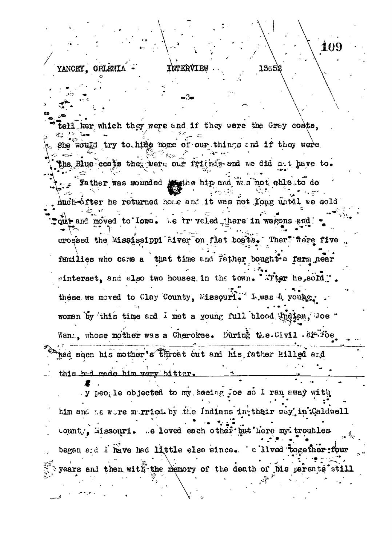## INTERVIEW

**ORLENLA** 

**YANCEY.** 

her which they were and if they were the Gray coats. would try to hide some of our things and if they were. the Blue coats the were our friends and we did not have to. Father was wounded in the and was not able to do much-after he returned home and it was not Yong until we sold the and moved to Iowa. We truveled there in wagons and crossed the Mississippi hiver on flat boats. Ther<sup>7</sup> flere five families who came a that time and Father bought a farm near winterset, and also two houses in the town. Titer he sold". these we moved to Clay County, Missouri. L.was & young. woman by this time and I met a young full blood indian, Joe " Wann, whose mother was a Cherokee. During the Civil . article had seen his mother's throat cut and his father killed and this had made him very bitter.

y people objected to my seeing Joe so I ran away with him and te wore morried by the Indians in their way in Caldwell count . Missouri. Ge loved each other but here my troubles began and I have had little else since. ' a lived together four years and then with the memory of the death of his parents still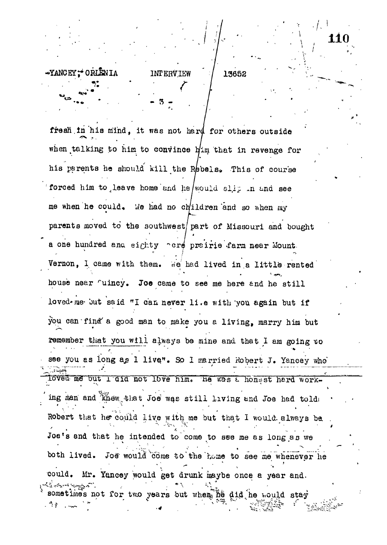## ~YANCEY: ORLENIA

INTERVIEW / 13652 **r**

**- 3 -**

•/• !

 $11$ 

fresh in his mind. it was not hard for others outside  $\curvearrowright$   $\curvearrowright$   $\curvearrowright$   $\curvearrowright$   $\curvearrowright$   $\curvearrowright$   $\curvearrowright$   $\curvearrowright$   $\curvearrowright$   $\curvearrowright$   $\curvearrowright$   $\curvearrowright$   $\curvearrowright$   $\curvearrowright$   $\curvearrowright$   $\curvearrowright$   $\curvearrowright$   $\curvearrowright$   $\curvearrowright$   $\curvearrowright$   $\curvearrowright$   $\curvearrowright$   $\curvearrowright$   $\curvearrowright$   $\curvearrowright$   $\curvearrowright$   $\curvearrowright$   $\curvearrowright$   $\curvearrowright$   $\curvearrowright$   $\curvearrowright$   $\curvearrow$ when  $\frac{1}{2}$  and  $\frac{1}{2}$  or  $\frac{1}{2}$  and  $\frac{1}{2}$  and  $\frac{1}{2}$  revenge for his parents he should kill the Rebels. This of course forced him to leave home and he/would slip in and see me when he could. We had no children and so when my parents moved to the southwest/part of Missouri and bought a one hundred ana eighty **cre** prairie farm near Mount. *° • - I* Vernon, I came with them. We had lived in a little rented house near 'uincy. Joe came to see me here and he still loved ne but said "I can never li.e with you again but if you can find a good man to make you a living, marry him but remember that you will always be mine and that I am going to see you as long as 1 live". So I married Robert J. Yancey who' loved me but l'did not love him. He was a honest hard working man and  $\lim_{n\to\infty}$  that Joe was still living and Joe had toldi  $\cdot$ ' •• ' • '  *: '* \_-"' " ' • " . • • ' Robert that he could live with me but that I would, always be. **' . ' ••• ' " " " <sup>v</sup> v \* • • ' •• ''...." '**  $J_{\rm eff}$  and the intended to come to see me as long as we me both lived. Joe would come to the home to see me whenever he could. Mr. Yancey would get drunk maybe once a year and. sometimes not for two years but wheaThe did he nould stay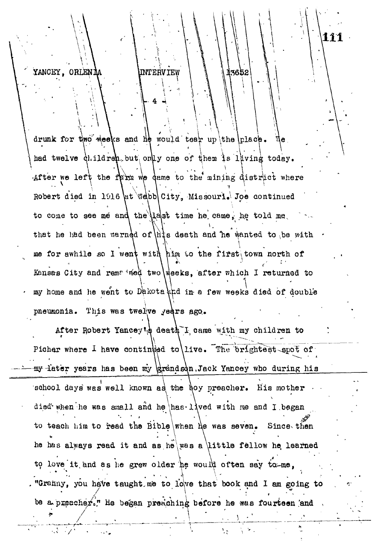## YANCEY, ORLENIA INTERVIEW

*"* -\_ ^

-^

*•'/ '*

13652

**liil**

drunk for two weeks and he would tear up the **Iplace.** We  $\int$  had twelve  $\int$  ildrep<sub>r</sub> but only one of them is laving today. After we left the farm we dame to the mining district where Robert died in 1916 at Webb City, Missouri. Joe continued to come to see me and the  $|$ last time he came, he told me, that he had been warned of  $\hat{h}$  is death and he wanted to be me for awhile so Kansas City and remated two weeks, after which I returned to  $\left\{ \right.$ im to the first town north of my home and he went to Dakota thd in a few weeks died of double pneumonia. This was twelve years ago.

After Robert Yancey's death I came with my children to Picher where I have continued to live. The brightest spot of my later years has been my grandson, Jack Yancey who during his  $\frac{1}{\sqrt{2}}$  , who during has been ray UrandsWjack Yancey who during his been ray UrandsWjack Yancey who during his been ray UrandsWjack Yancey who during his been ray UrandsWjack Yancey who during his been ray urands the school days was well known as the boy preacher. His mother  $\cdot$  • died'-when he was small and he has-lived with me and I began to teach him to read the Bible when he was seven. Since then he has always read it and as he was a little fellow he learned to love it and as he grew older he would often say to me, "Granny, you have taught me to lowe that book and I am going to  $\frac{1}{2}$ . The corresponding to the interval of the interval and 1 am going to interval and 1 am going to interval and 1 am going to  $\frac{1}{2}$ pe a prese **/**

He became before he same forest pareax and  $\mathcal{A}$